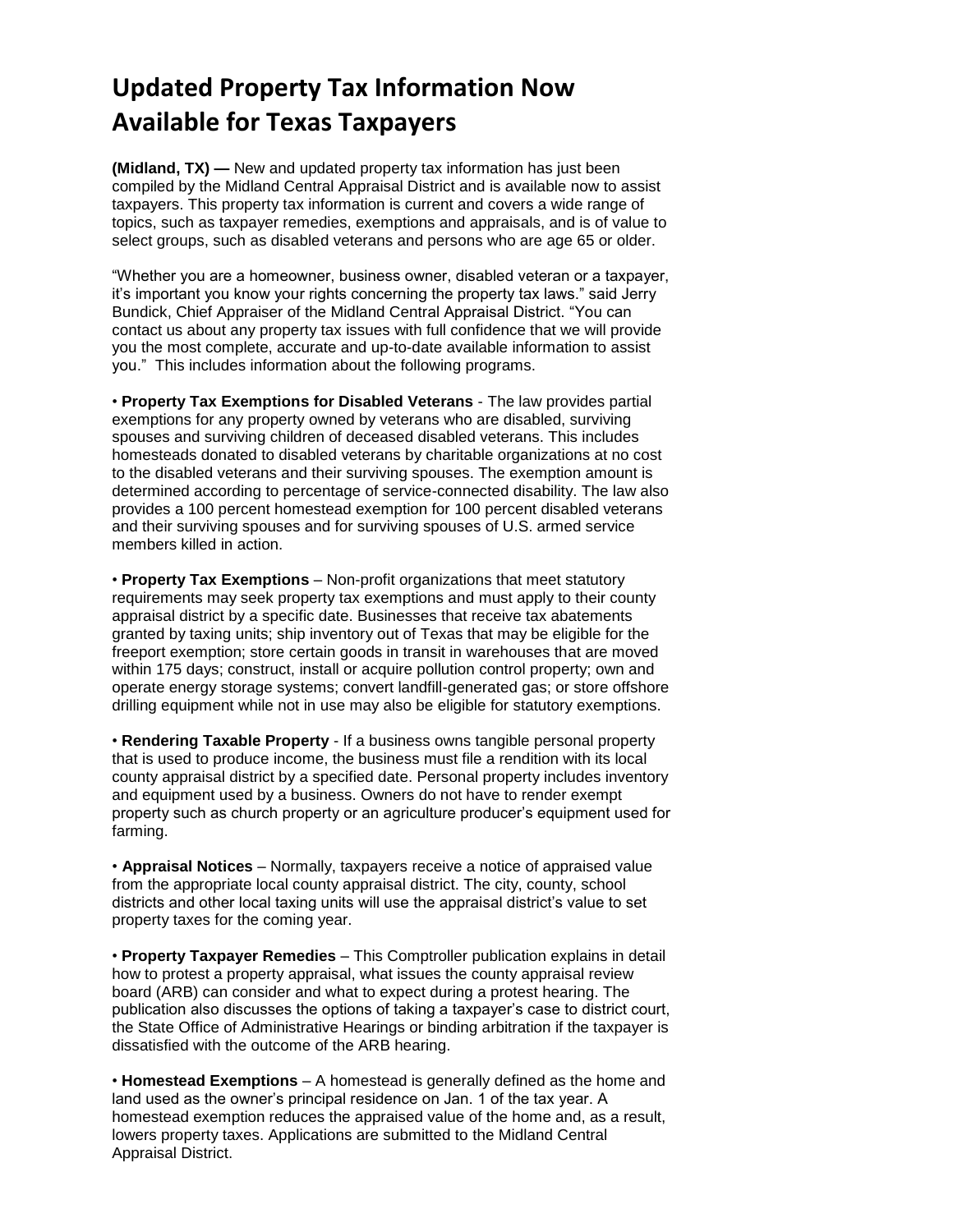## **Updated Property Tax Information Now Available for Texas Taxpayers**

**(Midland, TX) —** New and updated property tax information has just been compiled by the Midland Central Appraisal District and is available now to assist taxpayers. This property tax information is current and covers a wide range of topics, such as taxpayer remedies, exemptions and appraisals, and is of value to select groups, such as disabled veterans and persons who are age 65 or older.

"Whether you are a homeowner, business owner, disabled veteran or a taxpayer, it's important you know your rights concerning the property tax laws." said Jerry Bundick, Chief Appraiser of the Midland Central Appraisal District. "You can contact us about any property tax issues with full confidence that we will provide you the most complete, accurate and up-to-date available information to assist you." This includes information about the following programs.

• **Property Tax Exemptions for Disabled Veterans** - The law provides partial exemptions for any property owned by veterans who are disabled, surviving spouses and surviving children of deceased disabled veterans. This includes homesteads donated to disabled veterans by charitable organizations at no cost to the disabled veterans and their surviving spouses. The exemption amount is determined according to percentage of service-connected disability. The law also provides a 100 percent homestead exemption for 100 percent disabled veterans and their surviving spouses and for surviving spouses of U.S. armed service members killed in action.

• **Property Tax Exemptions** – Non-profit organizations that meet statutory requirements may seek property tax exemptions and must apply to their county appraisal district by a specific date. Businesses that receive tax abatements granted by taxing units; ship inventory out of Texas that may be eligible for the freeport exemption; store certain goods in transit in warehouses that are moved within 175 days; construct, install or acquire pollution control property; own and operate energy storage systems; convert landfill-generated gas; or store offshore drilling equipment while not in use may also be eligible for statutory exemptions.

• **Rendering Taxable Property** - If a business owns tangible personal property that is used to produce income, the business must file a rendition with its local county appraisal district by a specified date. Personal property includes inventory and equipment used by a business. Owners do not have to render exempt property such as church property or an agriculture producer's equipment used for farming.

• **Appraisal Notices** – Normally, taxpayers receive a notice of appraised value from the appropriate local county appraisal district. The city, county, school districts and other local taxing units will use the appraisal district's value to set property taxes for the coming year.

• **Property Taxpayer Remedies** – This Comptroller publication explains in detail how to protest a property appraisal, what issues the county appraisal review board (ARB) can consider and what to expect during a protest hearing. The publication also discusses the options of taking a taxpayer's case to district court, the State Office of Administrative Hearings or binding arbitration if the taxpayer is dissatisfied with the outcome of the ARB hearing.

• **Homestead Exemptions** – A homestead is generally defined as the home and land used as the owner's principal residence on Jan. 1 of the tax year. A homestead exemption reduces the appraised value of the home and, as a result, lowers property taxes. Applications are submitted to the Midland Central Appraisal District.